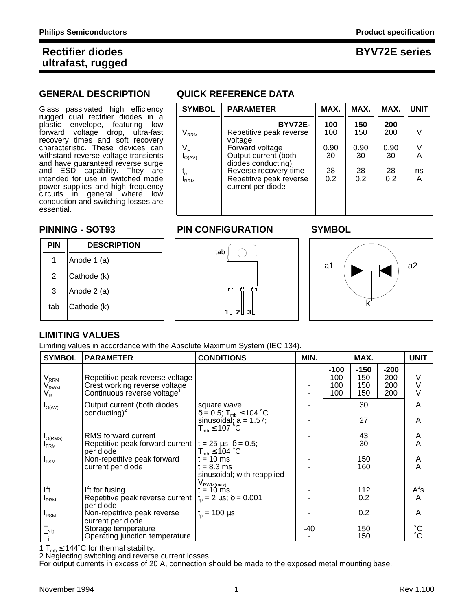## **GENERAL DESCRIPTION QUICK REFERENCE DATA**

| Glass<br>passivated high efficiency                                                                                                                                                                                                                                                                                                                                                                                                                          | <b>SYMBOL</b>                                                               | <b>PARAMETER</b>                                                                                                                                                                               | MAX.                                  | MAX.                                  | MAX.                                  | <b>UNIT</b>            |
|--------------------------------------------------------------------------------------------------------------------------------------------------------------------------------------------------------------------------------------------------------------------------------------------------------------------------------------------------------------------------------------------------------------------------------------------------------------|-----------------------------------------------------------------------------|------------------------------------------------------------------------------------------------------------------------------------------------------------------------------------------------|---------------------------------------|---------------------------------------|---------------------------------------|------------------------|
| rugged dual rectifier diodes in a<br>plastic envelope,<br>featuring<br>low<br>forward<br>voltage drop, ultra-fast<br>recovery times and soft recovery<br>characteristic. These devices can<br>withstand reverse voltage transients<br>and have guaranteed reverse surge<br>and ESD capability. They are<br>intended for use in switched mode<br>power supplies and high frequency<br>circuits in general where<br>low<br>conduction and switching losses are | $\mathsf{V}_{\mathsf{RRM}}$<br>V <sub>F</sub><br>$I_{O(AV)}$<br><b>IRRM</b> | <b>BYV72E-</b><br>Repetitive peak reverse<br>voltage<br>Forward voltage<br>Output current (both<br>diodes conducting)<br>Reverse recovery time<br>Repetitive peak reverse<br>current per diode | 100<br>100<br>0.90<br>30<br>28<br>0.2 | 150<br>150<br>0.90<br>30<br>28<br>0.2 | 200<br>200<br>0.90<br>30<br>28<br>0.2 | V<br>V<br>A<br>ns<br>A |
| essential.                                                                                                                                                                                                                                                                                                                                                                                                                                                   |                                                                             |                                                                                                                                                                                                |                                       |                                       |                                       |                        |

### **PINNING - SOT93 PIN CONFIGURATION SYMBOL**



### **LIMITING VALUES**

Limiting values in accordance with the Absolute Maximum System (IEC 134).

| <b>SYMBOL</b>                                                     | <b>PARAMETER</b>                                                                                            | <b>CONDITIONS</b>                                                                                                        | MIN.  | MAX.                        |                             | <b>UNIT</b>                 |                                    |
|-------------------------------------------------------------------|-------------------------------------------------------------------------------------------------------------|--------------------------------------------------------------------------------------------------------------------------|-------|-----------------------------|-----------------------------|-----------------------------|------------------------------------|
| $\mathsf{V}_{\mathsf{RRM}}$<br>$\rm V_{_{RWM}}$<br>V <sub>R</sub> | Repetitive peak reverse voltage<br>Crest working reverse voltage<br>Continuous reverse voltage <sup>T</sup> |                                                                                                                          |       | $-100$<br>100<br>100<br>100 | $-150$<br>150<br>150<br>150 | $-200$<br>200<br>200<br>200 | V<br>$\vee$<br>$\vee$              |
| $I_{O(AV)}$                                                       | Output current (both diodes<br>conducting) <sup>2</sup>                                                     | square wave<br>$\delta = 0.5$ ; T <sub>mb</sub> $\leq 104$ °C<br>sinusoidal; $a = 1.57$ ;<br>$T_{mb} \leq 107 \degree C$ |       |                             | 30<br>27                    |                             | A<br>A                             |
| $I_{O(RMS)}$<br>$I_{\text{FRM}}$                                  | RMS forward current<br>Repetitive peak forward current $t = 25 \mu s$ ; $\delta = 0.5$ ;<br>per diode       | $T_{mb} \leq 104$ °C                                                                                                     |       |                             | 43<br>30                    |                             | Α<br>Α                             |
| $I_{FSM}$                                                         | Non-repetitive peak forward<br>current per diode                                                            | $t = 10$ ms<br>$t = 8.3$ ms<br>sinusoidal; with reapplied<br>$V_{\text{RWM(max)}}$                                       |       |                             | 150<br>160                  |                             | A<br>A                             |
| l <sup>2</sup> t                                                  | $I2t$ for fusing                                                                                            | t = 10 ms                                                                                                                |       |                             | 112                         |                             | $A^2s$                             |
| <b>IRRM</b>                                                       | Repetitive peak reverse current<br>per diode                                                                | $t_0 = 2 \mu s$ ; $\delta = 0.001$                                                                                       |       |                             | 0.2                         |                             | A                                  |
| $I_{\rm RSM}$                                                     | Non-repetitive peak reverse<br>current per diode                                                            | $t_{0} = 100 \mu s$                                                                                                      |       |                             | 0.2                         |                             | A                                  |
| $\mathbf{T}_{\text{stg}}$<br>T,                                   | Storage temperature<br>Operating junction temperature                                                       |                                                                                                                          | $-40$ |                             | 150<br>150                  |                             | $\rm ^{\circ}C$<br>$\rm ^{\circ}C$ |

1 T<sub>mb</sub>  $\leq$  144°C for thermal stability.

2 Neglecting switching and reverse current losses.

For output currents in excess of 20 A, connection should be made to the exposed metal mounting base.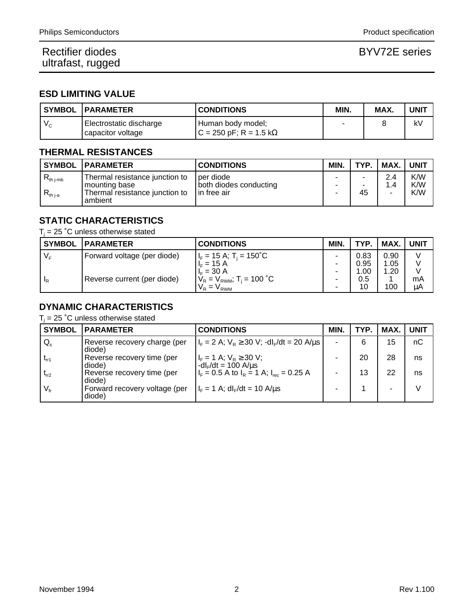### **ESD LIMITING VALUE**

|         | <b>SYMBOL PARAMETER</b>                        | <b>CONDITIONS</b>                             | MIN. | MAX. | <b>UNIT</b> |
|---------|------------------------------------------------|-----------------------------------------------|------|------|-------------|
| $V_{c}$ | Electrostatic discharge<br>  capacitor voltage | Human body model;<br>$C = 250$ pF; R = 1.5 kΩ |      |      | k٧          |

### **THERMAL RESISTANCES**

|                                           | <b>SYMBOL   PARAMETER</b>                                                                      | <b>CONDITIONS</b>                                   | <b>MIN</b> | TYP.    | MAX.      | <b>UNIT</b>       |
|-------------------------------------------|------------------------------------------------------------------------------------------------|-----------------------------------------------------|------------|---------|-----------|-------------------|
| $R_{\rm th\ j\text{-}mb}$<br>$R_{th\,ia}$ | Thermal resistance junction to<br>I mounting base<br>Thermal resistance junction to<br>ambient | per diode<br>both diodes conducting<br>lin free air | ٠<br>-     | ۰<br>45 | 2.4<br>14 | K/W<br>K/W<br>K/W |

# **STATIC CHARACTERISTICS**

 $T_j$  = 25 °C unless otherwise stated

| <b>SYMBOL</b> | <b>IPARAMETER</b>           | <b>CONDITIONS</b>                                | <b>MIN</b>               | <b>TYP</b> | MAX. | <b>UNIT</b> |
|---------------|-----------------------------|--------------------------------------------------|--------------------------|------------|------|-------------|
| $V_{E}$       | Forward voltage (per diode) | $H_F = 15 \text{ A}; T_i = 150^{\circ} \text{C}$ |                          | 0.83       | 0.90 |             |
|               |                             | $I_F = 15 A$                                     |                          | 0.95       | 1.05 |             |
|               |                             | $I_{F} = 30 A$                                   |                          | 1.00       | 1.20 |             |
| "R            | Reverse current (per diode) | $V_R = V_{RWM}$ ; T <sub>i</sub> = 100 °C        | $\overline{\phantom{0}}$ | 0.5        |      | mA          |
|               |                             | $V_R = V_{RWM}$                                  | -                        | 10         | 100  | μA          |

## **DYNAMIC CHARACTERISTICS**

 $T_i$  = 25 °C unless otherwise stated

| <b>SYMBOL</b>   | <b>PARAMETER</b>                        | <b>CONDITIONS</b>                                              | <b>MIN</b> | TYP. | <b>MAX</b> | UNIT |
|-----------------|-----------------------------------------|----------------------------------------------------------------|------------|------|------------|------|
| $Q_{s}$         | Reverse recovery charge (per<br>diode)  | $ I_F = 2 A$ ; $V_R \ge 30 V$ ; -dl <sub>F</sub> /dt = 20 A/us | ۰.         | 6    | 15         | nC   |
| $t_{rr1}$       | Reverse recovery time (per<br>diode)    | $I_F = 1$ A; $V_R \ge 30$ V;<br>$-dIF/dt = 100 A/μs$           |            | 20   | 28         | ns   |
| $t_{rr2}$       | Reverse recovery time (per<br>diode)    | $I_F = 0.5$ A to $I_R = 1$ A; $I_{rec} = 0.25$ A               |            | 13   | 22         | ns   |
| $V_{\text{fr}}$ | Forward recovery voltage (per<br>diode) | $I_F = 1$ A; $dI_F/dt = 10$ A/us                               |            |      |            |      |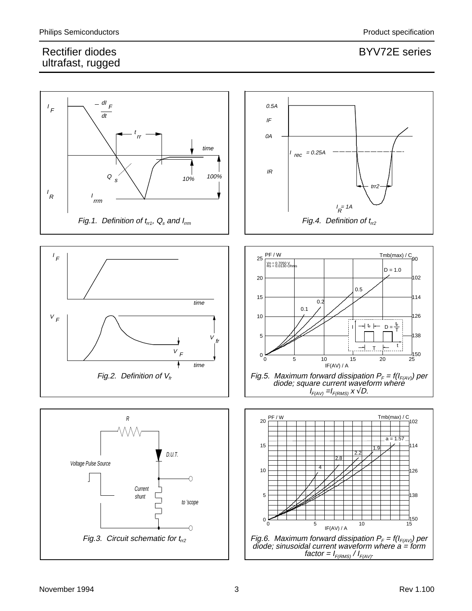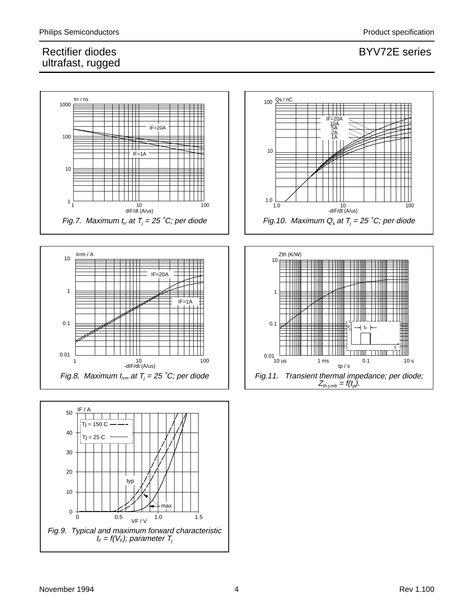







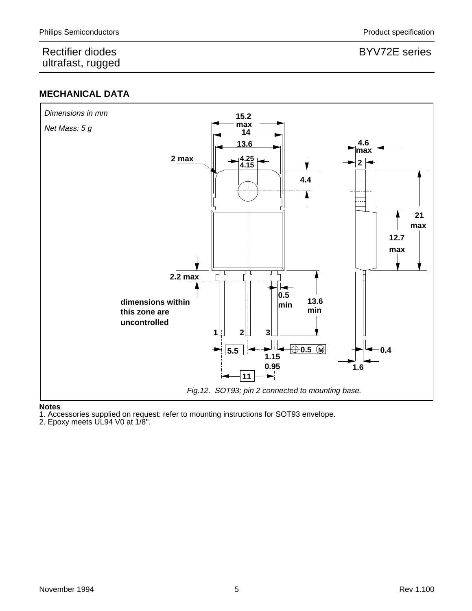### **MECHANICAL DATA**



### **Notes**

1. Accessories supplied on request: refer to mounting instructions for SOT93 envelope.

2. Epoxy meets UL94 V0 at 1/8".